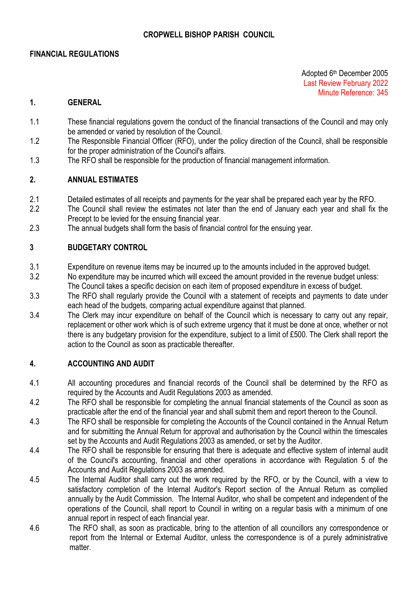#### **FINANCIAL REGULATIONS**

Adopted 6 th December 2005 Last Review February 2022 Minute Reference: 345

#### **1. GENERAL**

- 1.1 These financial regulations govern the conduct of the financial transactions of the Council and may only be amended or varied by resolution of the Council.
- 1.2 The Responsible Financial Officer (RFO), under the policy direction of the Council, shall be responsible for the proper administration of the Council's affairs.
- 1.3 The RFO shall be responsible for the production of financial management information.

#### **2. ANNUAL ESTIMATES**

- 2.1 Detailed estimates of all receipts and payments for the year shall be prepared each year by the RFO.
- 2.2 The Council shall review the estimates not later than the end of January each year and shall fix the Precept to be levied for the ensuing financial year.
- 2.3 The annual budgets shall form the basis of financial control for the ensuing year.

#### **3 BUDGETARY CONTROL**

3.1 Expenditure on revenue items may be incurred up to the amounts included in the approved budget.

3.2 No expenditure may be incurred which will exceed the amount provided in the revenue budget unless: The Council takes a specific decision on each item of proposed expenditure in excess of budget.

- 3.3 The RFO shall regularly provide the Council with a statement of receipts and payments to date under each head of the budgets, comparing actual expenditure against that planned.
- 3.4 The Clerk may incur expenditure on behalf of the Council which is necessary to carry out any repair, replacement or other work which is of such extreme urgency that it must be done at once, whether or not there is any budgetary provision for the expenditure, subject to a limit of £500. The Clerk shall report the action to the Council as soon as practicable thereafter.

#### **4. ACCOUNTING AND AUDIT**

- 4.1 All accounting procedures and financial records of the Council shall be determined by the RFO as required by the Accounts and Audit Regulations 2003 as amended.
- 4.2 The RFO shall be responsible for completing the annual financial statements of the Council as soon as practicable after the end of the financial year and shall submit them and report thereon to the Council.
- 4.3 The RFO shall be responsible for completing the Accounts of the Council contained in the Annual Return and for submitting the Annual Return for approval and authorisation by the Council within the timescales set by the Accounts and Audit Regulations 2003 as amended, or set by the Auditor.
- 4.4 The RFO shall be responsible for ensuring that there is adequate and effective system of internal audit of the Council's accounting, financial and other operations in accordance with Regulation 5 of the Accounts and Audit Regulations 2003 as amended.
- 4.5 The Internal Auditor shall carry out the work required by the RFO, or by the Council, with a view to satisfactory completion of the Internal Auditor's Report section of the Annual Return as complied annually by the Audit Commission. The Internal Auditor, who shall be competent and independent of the operations of the Council, shall report to Council in writing on a regular basis with a minimum of one annual report in respect of each financial year.
- 4.6 The RFO shall, as soon as practicable, bring to the attention of all councillors any correspondence or report from the Internal or External Auditor, unless the correspondence is of a purely administrative matter.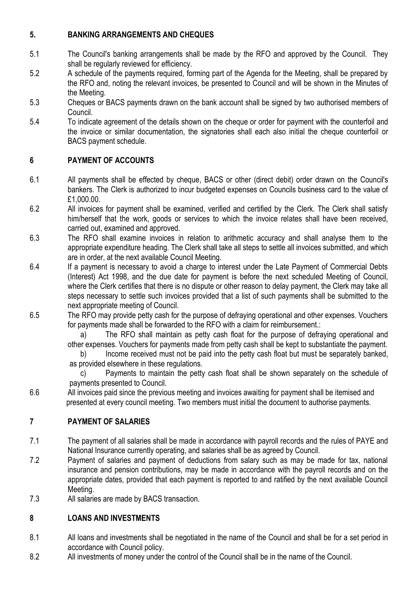# **5. BANKING ARRANGEMENTS AND CHEQUES**

- 5.1 The Council's banking arrangements shall be made by the RFO and approved by the Council. They shall be regularly reviewed for efficiency.
- 5.2 A schedule of the payments required, forming part of the Agenda for the Meeting, shall be prepared by the RFO and, noting the relevant invoices, be presented to Council and will be shown in the Minutes of the Meeting.
- 5.3 Cheques or BACS payments drawn on the bank account shall be signed by two authorised members of Council.
- 5.4 To indicate agreement of the details shown on the cheque or order for payment with the counterfoil and the invoice or similar documentation, the signatories shall each also initial the cheque counterfoil or BACS payment schedule.

# **6 PAYMENT OF ACCOUNTS**

- 6.1 All payments shall be effected by cheque, BACS or other (direct debit) order drawn on the Council's bankers. The Clerk is authorized to incur budgeted expenses on Councils business card to the value of £1,000.00.
- 6.2 All invoices for payment shall be examined, verified and certified by the Clerk. The Clerk shall satisfy him/herself that the work, goods or services to which the invoice relates shall have been received, carried out, examined and approved.
- 6.3 The RFO shall examine invoices in relation to arithmetic accuracy and shall analyse them to the appropriate expenditure heading. The Clerk shall take all steps to settle all invoices submitted, and which are in order, at the next available Council Meeting.
- 6.4 If a payment is necessary to avoid a charge to interest under the Late Payment of Commercial Debts (Interest) Act 1998, and the due date for payment is before the next scheduled Meeting of Council, where the Clerk certifies that there is no dispute or other reason to delay payment, the Clerk may take all steps necessary to settle such invoices provided that a list of such payments shall be submitted to the next appropriate meeting of Council.
- 6.5 The RFO may provide petty cash for the purpose of defraying operational and other expenses. Vouchers for payments made shall be forwarded to the RFO with a claim for reimbursement.:

a) The RFO shall maintain as petty cash float for the purpose of defraying operational and other expenses. Vouchers for payments made from petty cash shall be kept to substantiate the payment.

b) Income received must not be paid into the petty cash float but must be separately banked, as provided elsewhere in these regulations.

c) Payments to maintain the petty cash float shall be shown separately on the schedule of payments presented to Council.

6.6 All invoices paid since the previous meeting and invoices awaiting for payment shall be itemised and presented at every council meeting. Two members must initial the document to authorise payments.

# **7 PAYMENT OF SALARIES**

- 7.1 The payment of all salaries shall be made in accordance with payroll records and the rules of PAYE and National Insurance currently operating, and salaries shall be as agreed by Council.
- 7.2 Payment of salaries and payment of deductions from salary such as may be made for tax, national insurance and pension contributions, may be made in accordance with the payroll records and on the appropriate dates, provided that each payment is reported to and ratified by the next available Council Meeting.
- 7.3 All salaries are made by BACS transaction.

## **8 LOANS AND INVESTMENTS**

- 8.1 All loans and investments shall be negotiated in the name of the Council and shall be for a set period in accordance with Council policy.
- 8.2 All investments of money under the control of the Council shall be in the name of the Council.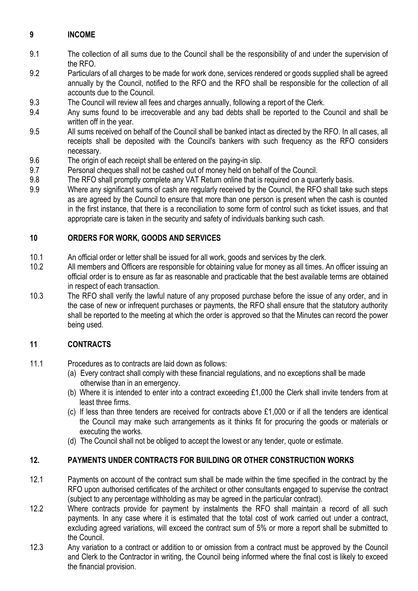# **9 INCOME**

- 9.1 The collection of all sums due to the Council shall be the responsibility of and under the supervision of the RFO.
- 9.2 Particulars of all charges to be made for work done, services rendered or goods supplied shall be agreed annually by the Council, notified to the RFO and the RFO shall be responsible for the collection of all accounts due to the Council.
- 9.3 The Council will review all fees and charges annually, following a report of the Clerk.
- 9.4 Any sums found to be irrecoverable and any bad debts shall be reported to the Council and shall be written off in the year.
- 9.5 All sums received on behalf of the Council shall be banked intact as directed by the RFO. In all cases, all receipts shall be deposited with the Council's bankers with such frequency as the RFO considers necessary.
- 9.6 The origin of each receipt shall be entered on the paying-in slip.
- 9.7 Personal cheques shall not be cashed out of money held on behalf of the Council.
- 9.8 The RFO shall promptly complete any VAT Return online that is required on a quarterly basis.
- 9.9 Where any significant sums of cash are regularly received by the Council, the RFO shall take such steps as are agreed by the Council to ensure that more than one person is present when the cash is counted in the first instance, that there is a reconciliation to some form of control such as ticket issues, and that appropriate care is taken in the security and safety of individuals banking such cash.

### **10 ORDERS FOR WORK, GOODS AND SERVICES**

- 10.1 An official order or letter shall be issued for all work, goods and services by the clerk.
- 10.2 All members and Officers are responsible for obtaining value for money as all times. An officer issuing an official order is to ensure as far as reasonable and practicable that the best available terms are obtained in respect of each transaction.
- 10.3 The RFO shall verify the lawful nature of any proposed purchase before the issue of any order, and in the case of new or infrequent purchases or payments, the RFO shall ensure that the statutory authority shall be reported to the meeting at which the order is approved so that the Minutes can record the power being used.

#### **11 CONTRACTS**

- 11.1 Procedures as to contracts are laid down as follows:
	- (a) Every contract shall comply with these financial regulations, and no exceptions shall be made otherwise than in an emergency.
	- (b) Where it is intended to enter into a contract exceeding £1,000 the Clerk shall invite tenders from at least three firms.
	- (c) If less than three tenders are received for contracts above £1,000 or if all the tenders are identical the Council may make such arrangements as it thinks fit for procuring the goods or materials or executing the works.
	- (d) The Council shall not be obliged to accept the lowest or any tender, quote or estimate.

## **12. PAYMENTS UNDER CONTRACTS FOR BUILDING OR OTHER CONSTRUCTION WORKS**

- 12.1 Payments on account of the contract sum shall be made within the time specified in the contract by the RFO upon authorised certificates of the architect or other consultants engaged to supervise the contract (subject to any percentage withholding as may be agreed in the particular contract).
- 12.2 Where contracts provide for payment by instalments the RFO shall maintain a record of all such payments. In any case where it is estimated that the total cost of work carried out under a contract, excluding agreed variations, will exceed the contract sum of 5% or more a report shall be submitted to the Council.
- 12.3 Any variation to a contract or addition to or omission from a contract must be approved by the Council and Clerk to the Contractor in writing, the Council being informed where the final cost is likely to exceed the financial provision.